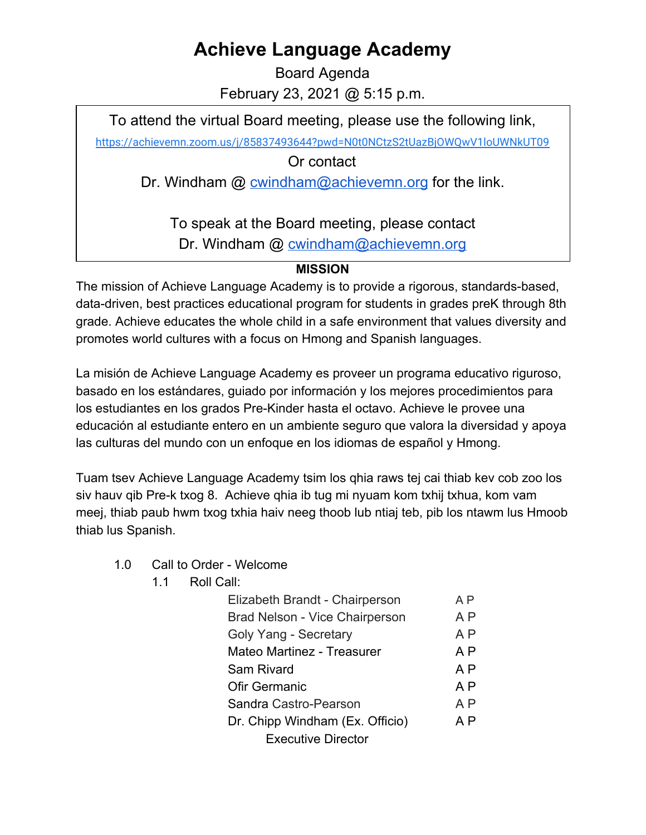## **Achieve Language Academy**

Board Agenda February 23, 2021 @ 5:15 p.m.

To attend the virtual Board meeting, please use the following link,

<https://achievemn.zoom.us/j/85837493644?pwd=N0t0NCtzS2tUazBjOWQwV1loUWNkUT09>

Or contact

Dr. Windham @ [cwindham@achievemn.org](mailto:cwindham@achievemn.org) for the link.

To speak at the Board meeting, please contact Dr. Windham @ [cwindham@achievemn.org](mailto:cwindham@achievemn.org)

## **MISSION**

The mission of Achieve Language Academy is to provide a rigorous, standards-based, data-driven, best practices educational program for students in grades preK through 8th grade. Achieve educates the whole child in a safe environment that values diversity and promotes world cultures with a focus on Hmong and Spanish languages.

La misión de Achieve Language Academy es proveer un programa educativo riguroso, basado en los estándares, guiado por información y los mejores procedimientos para los estudiantes en los grados Pre-Kinder hasta el octavo. Achieve le provee una educación al estudiante entero en un ambiente seguro que valora la diversidad y apoya las culturas del mundo con un enfoque en los idiomas de español y Hmong.

Tuam tsev Achieve Language Academy tsim los qhia raws tej cai thiab kev cob zoo los siv hauv qib Pre-k txog 8. Achieve qhia ib tug mi nyuam kom txhij txhua, kom vam meej, thiab paub hwm txog txhia haiv neeg thoob lub ntiaj teb, pib los ntawm lus Hmoob thiab lus Spanish.

- 1.0 Call to Order Welcome
	- 1.1 Roll Call:

| Elizabeth Brandt - Chairperson  | ΑP             |
|---------------------------------|----------------|
| Brad Nelson - Vice Chairperson  | A P            |
| Goly Yang - Secretary           | A <sub>P</sub> |
| Mateo Martinez - Treasurer      | A P            |
| Sam Rivard                      | A P            |
| Ofir Germanic                   | A P            |
| Sandra Castro-Pearson           |                |
| Dr. Chipp Windham (Ex. Officio) |                |
| <b>Executive Director</b>       |                |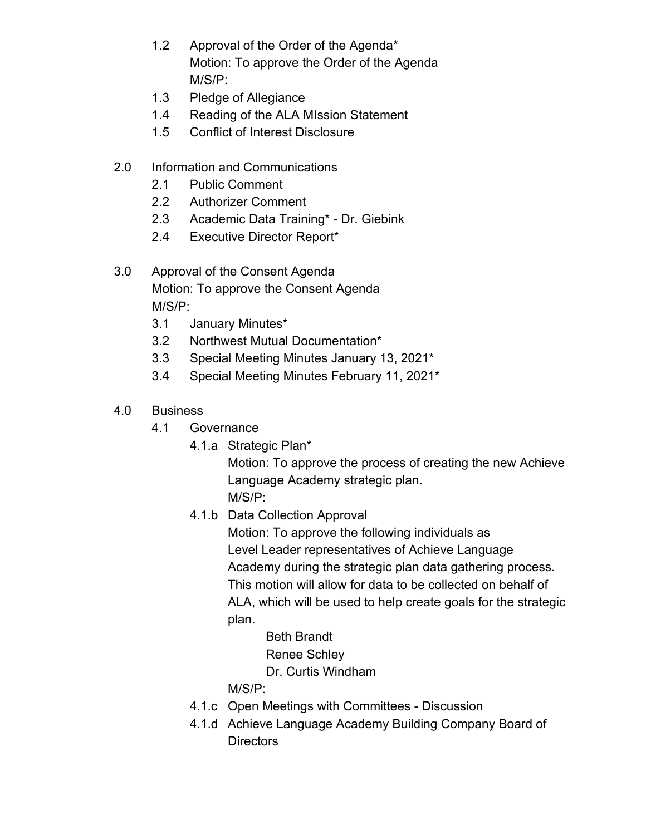- 1.2 Approval of the Order of the Agenda\* Motion: To approve the Order of the Agenda M/S/P:
- 1.3 Pledge of Allegiance
- 1.4 Reading of the ALA MIssion Statement
- 1.5 Conflict of Interest Disclosure
- 2.0 Information and Communications
	- 2.1 Public Comment
	- 2.2 Authorizer Comment
	- 2.3 Academic Data Training\* Dr. Giebink
	- 2.4 Executive Director Report\*
- 3.0 Approval of the Consent Agenda Motion: To approve the Consent Agenda M/S/P:
	- 3.1 January Minutes\*
	- 3.2 Northwest Mutual Documentation\*
	- 3.3 Special Meeting Minutes January 13, 2021\*
	- 3.4 Special Meeting Minutes February 11, 2021\*
- 4.0 Business
	- 4.1 Governance
		- 4.1.a Strategic Plan\*

Motion: To approve the process of creating the new Achieve Language Academy strategic plan. M/S/P:

- 4.1.b Data Collection Approval
	- Motion: To approve the following individuals as Level Leader representatives of Achieve Language Academy during the strategic plan data gathering process. This motion will allow for data to be collected on behalf of ALA, which will be used to help create goals for the strategic plan.
		- Beth Brandt
		- Renee Schley
		- Dr. Curtis Windham
	- M/S/P:
- 4.1.c Open Meetings with Committees Discussion
- 4.1.d Achieve Language Academy Building Company Board of **Directors**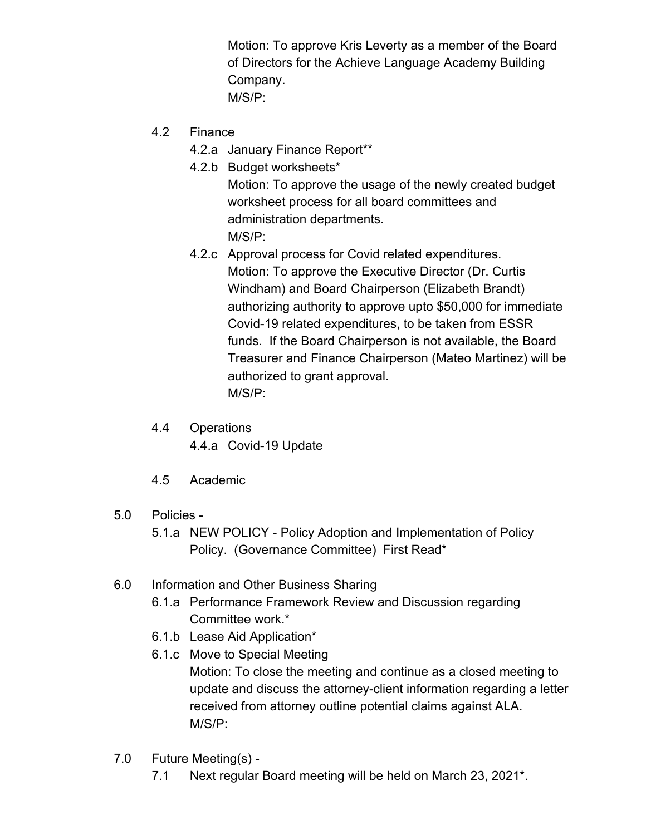Motion: To approve Kris Leverty as a member of the Board of Directors for the Achieve Language Academy Building Company. M/S/P:

- 4.2 Finance
	- 4.2.a January Finance Report\*\*
	- 4.2.b Budget worksheets\* Motion: To approve the usage of the newly created budget worksheet process for all board committees and administration departments. M/S/P:
	- 4.2.c Approval process for Covid related expenditures. Motion: To approve the Executive Director (Dr. Curtis Windham) and Board Chairperson (Elizabeth Brandt) authorizing authority to approve upto \$50,000 for immediate Covid-19 related expenditures, to be taken from ESSR funds. If the Board Chairperson is not available, the Board Treasurer and Finance Chairperson (Mateo Martinez) will be authorized to grant approval. M/S/P:
- 4.4 Operations 4.4.a Covid-19 Update
- 4.5 Academic
- 5.0 Policies
	- 5.1.a NEW POLICY Policy Adoption and Implementation of Policy Policy. (Governance Committee) First Read\*
- 6.0 Information and Other Business Sharing
	- 6.1.a Performance Framework Review and Discussion regarding Committee work.\*
	- 6.1.b Lease Aid Application\*
	- 6.1.c Move to Special Meeting Motion: To close the meeting and continue as a closed meeting to update and discuss the attorney-client information regarding a letter received from attorney outline potential claims against ALA. M/S/P:
- 7.0 Future Meeting(s)
	- 7.1 Next regular Board meeting will be held on March 23, 2021\*.